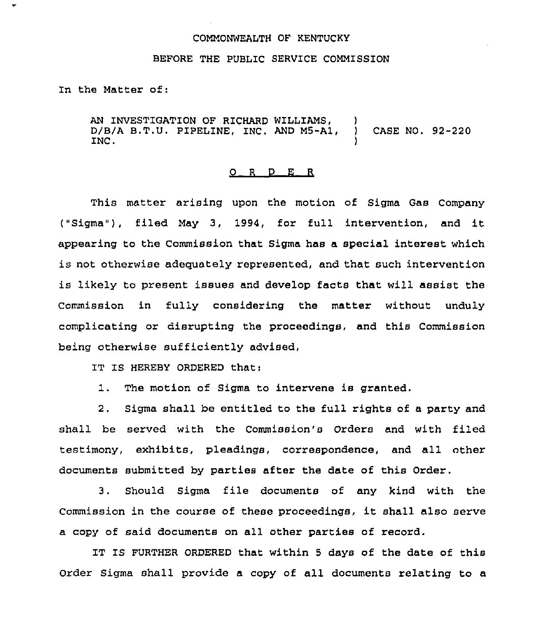## COMMONWEALTH OF KENTUCKY

## BEFORE THE PUBLIC SERVICE COMMISSION

In the Matter of:

AN INVESTIGATION OF RICHARD WILLIAMS, )<br>D/B/A B.T.U. PIPELINE, INC. AND M5-A1, )  $D/B/A$  B.T.U. PIPELINE, INC. AND  $M5-AA$ , ) CASE NO. 92-220 INC. INC.

## 0 <sup>R</sup> <sup>D</sup> E R

This matter arising upon the motion of Sigma Gas Company ("Sigma" ), filed May 3, 1994, for full intervention, and it appearing to the Commission that Sigma has a special interest which is not otherwise adequately represented, and that such intervention is likely to present issues and develop facts that will assist the Commission in fully considering the matter without unduly complicating or disrupting the proceedings, and this Commission being otherwise sufficiently advised,

IT IS HEREBY ORDERED that:

1. The motion of Sigma to intervene is granted.

2. Sigma shall be entitled to the full rights of a party and shall be served with the Commission's Orders and with filed testimony, exhibits, pleadings, correspondence, and all other documents submitted by parties after the date of this Order.

3. Should Sigma file documents of any kind with the Commission in the course of these proceedings, it shall also serve a copy of said documents on all other parties of record.

IT IS FURTHER ORDERED that within 5 days of the date of this Order Sigma shall provide a copy of all documents relating to a